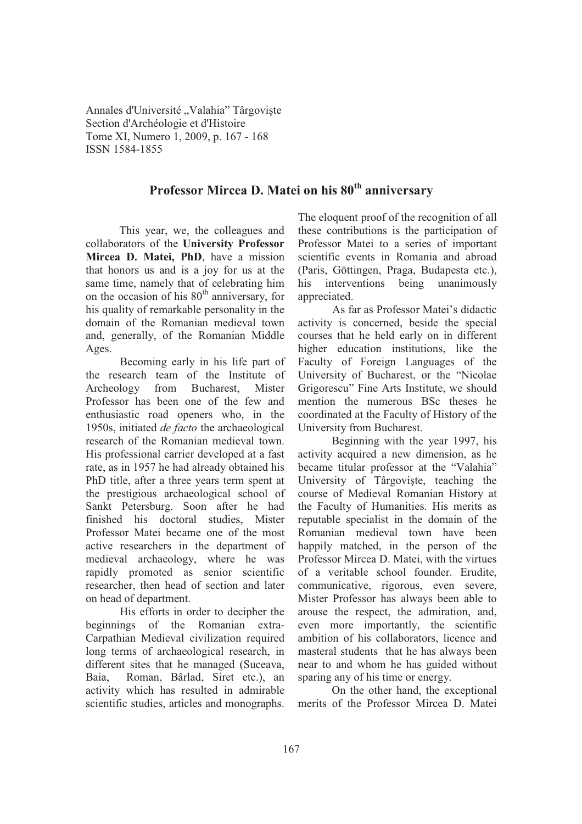Annales d'Université "Valahia" Târgoviște Section d'Archéologie et d'Histoire Tome XI, Numero 1, 2009, p. 167 - 168 ISSN 1584-1855

## **Professor Mircea D. Matei on his 80th anniversary**

This year, we, the colleagues and collaborators of the **University Professor Mircea D. Matei, PhD**, have a mission that honors us and is a joy for us at the same time, namely that of celebrating him on the occasion of his  $80<sup>th</sup>$  anniversary, for his quality of remarkable personality in the domain of the Romanian medieval town and, generally, of the Romanian Middle Ages.

Becoming early in his life part of the research team of the Institute of Archeology from Bucharest, Mister Professor has been one of the few and enthusiastic road openers who, in the 1950s, initiated *de facto* the archaeological research of the Romanian medieval town. His professional carrier developed at a fast rate, as in 1957 he had already obtained his PhD title, after a three years term spent at the prestigious archaeological school of Sankt Petersburg. Soon after he had finished his doctoral studies, Mister Professor Matei became one of the most active researchers in the department of medieval archaeology, where he was rapidly promoted as senior scientific researcher, then head of section and later on head of department.

His efforts in order to decipher the beginnings of the Romanian extra-Carpathian Medieval civilization required long terms of archaeological research, in different sites that he managed (Suceava, Baia, Roman, Bârlad, Siret etc.), an activity which has resulted in admirable scientific studies, articles and monographs.

The eloquent proof of the recognition of all these contributions is the participation of Professor Matei to a series of important scientific events in Romania and abroad (Paris, Göttingen, Praga, Budapesta etc.), his interventions being unanimously appreciated.

As far as Professor Matei's didactic activity is concerned, beside the special courses that he held early on in different higher education institutions, like the Faculty of Foreign Languages of the University of Bucharest, or the "Nicolae Grigorescu" Fine Arts Institute, we should mention the numerous BSc theses he coordinated at the Faculty of History of the University from Bucharest.

Beginning with the year 1997, his activity acquired a new dimension, as he became titular professor at the "Valahia" University of Târgoviste, teaching the course of Medieval Romanian History at the Faculty of Humanities. His merits as reputable specialist in the domain of the Romanian medieval town have been happily matched, in the person of the Professor Mircea D. Matei, with the virtues of a veritable school founder. Erudite, communicative, rigorous, even severe, Mister Professor has always been able to arouse the respect, the admiration, and, even more importantly, the scientific ambition of his collaborators, licence and masteral students that he has always been near to and whom he has guided without sparing any of his time or energy.

On the other hand, the exceptional merits of the Professor Mircea D. Matei